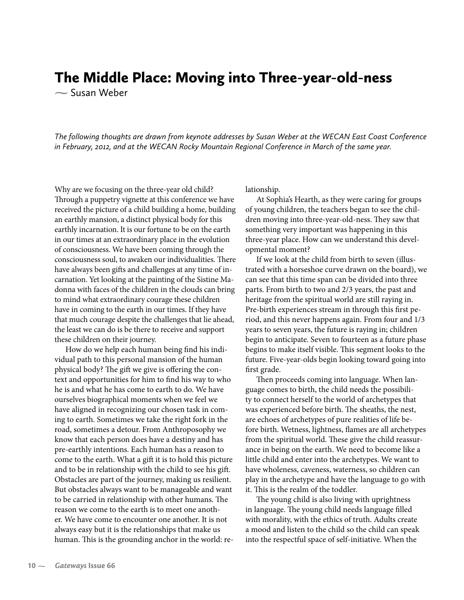## The Middle Place: Moving into Three-year-old-ness

**-** Susan Weber

*The following thoughts are drawn from keynote addresses by Susan Weber at the WECAN East Coast Conference in February, 2012, and at the WECAN Rocky Mountain Regional Conference in March of the same year.*

Why are we focusing on the three-year old child? Through a puppetry vignette at this conference we have received the picture of a child building a home, building an earthly mansion, a distinct physical body for this earthly incarnation. It is our fortune to be on the earth in our times at an extraordinary place in the evolution of consciousness. We have been coming through the consciousness soul, to awaken our individualities. There have always been gifts and challenges at any time of incarnation. Yet looking at the painting of the Sistine Madonna with faces of the children in the clouds can bring to mind what extraordinary courage these children have in coming to the earth in our times. If they have that much courage despite the challenges that lie ahead, the least we can do is be there to receive and support these children on their journey.

How do we help each human being find his individual path to this personal mansion of the human physical body? The gift we give is offering the context and opportunities for him to find his way to who he is and what he has come to earth to do. We have ourselves biographical moments when we feel we have aligned in recognizing our chosen task in coming to earth. Sometimes we take the right fork in the road, sometimes a detour. From Anthroposophy we know that each person does have a destiny and has pre-earthly intentions. Each human has a reason to come to the earth. What a gift it is to hold this picture and to be in relationship with the child to see his gift. Obstacles are part of the journey, making us resilient. But obstacles always want to be manageable and want to be carried in relationship with other humans. The reason we come to the earth is to meet one another. We have come to encounter one another. It is not always easy but it is the relationships that make us human. This is the grounding anchor in the world: relationship.

At Sophia's Hearth, as they were caring for groups of young children, the teachers began to see the children moving into three-year-old-ness. They saw that something very important was happening in this three-year place. How can we understand this developmental moment?

If we look at the child from birth to seven (illustrated with a horseshoe curve drawn on the board), we can see that this time span can be divided into three parts. From birth to two and 2/3 years, the past and heritage from the spiritual world are still raying in. Pre-birth experiences stream in through this first period, and this never happens again. From four and 1/3 years to seven years, the future is raying in; children begin to anticipate. Seven to fourteen as a future phase begins to make itself visible. This segment looks to the future. Five-year-olds begin looking toward going into first grade.

Then proceeds coming into language. When language comes to birth, the child needs the possibility to connect herself to the world of archetypes that was experienced before birth. The sheaths, the nest, are echoes of archetypes of pure realities of life before birth. Wetness, lightness, flames are all archetypes from the spiritual world. These give the child reassurance in being on the earth. We need to become like a little child and enter into the archetypes. We want to have wholeness, caveness, waterness, so children can play in the archetype and have the language to go with it. This is the realm of the toddler.

The young child is also living with uprightness in language. The young child needs language filled with morality, with the ethics of truth. Adults create a mood and listen to the child so the child can speak into the respectful space of self-initiative. When the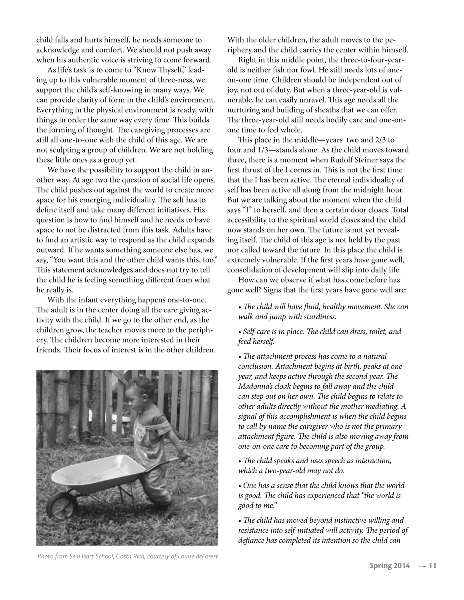child falls and hurts himself, he needs someone to acknowledge and comfort. We should not push away when his authentic voice is striving to come forward.

As life's task is to come to "Know Thyself," leading up to this vulnerable moment of three-ness, we support the child's self-knowing in many ways. We can provide clarity of form in the child's environment. Everything in the physical environment is ready, with things in order the same way every time. This builds the forming of thought. The caregiving processes are still all one-to-one with the child of this age. We are not sculpting a group of children. We are not holding these little ones as a group yet.

We have the possibility to support the child in another way. At age two the question of social life opens. The child pushes out against the world to create more space for his emerging individuality. The self has to define itself and take many different initiatives. His question is how to find himself and he needs to have space to not be distracted from this task. Adults have to find an artistic way to respond as the child expands outward. If he wants something someone else has, we say, "You want this and the other child wants this, too." This statement acknowledges and does not try to tell the child he is feeling something different from what he really is.

With the infant everything happens one-to-one. The adult is in the center doing all the care giving activity with the child. If we go to the other end, as the children grow, the teacher moves more to the periphery. The children become more interested in their friends. Their focus of interest is in the other children.



*Photo from SeaHeart School, Costa Rica, courtesy of Louise deForest*

With the older children, the adult moves to the periphery and the child carries the center within himself.

Right in this middle point, the three-to-four-yearold is neither fish nor fowl. He still needs lots of oneon-one time. Children should be independent out of joy, not out of duty. But when a three-year-old is vulnerable, he can easily unravel. This age needs all the nurturing and building of sheaths that we can offer. The three-year-old still needs bodily care and one-onone time to feel whole.

This place in the middle—years two and 2/3 to four and 1/3—stands alone. As the child moves toward three, there is a moment when Rudolf Steiner says the first thrust of the I comes in. This is not the first time that the I has been active. The eternal individuality of self has been active all along from the midnight hour. But we are talking about the moment when the child says "I" to herself, and then a certain door closes. Total accessibility to the spiritual world closes and the child now stands on her own. The future is not yet revealing itself. The child of this age is not held by the past nor called toward the future. In this place the child is extremely vulnerable. If the first years have gone well, consolidation of development will slip into daily life.

How can we observe if what has come before has gone well? Signs that the first years have gone well are:

- *The child will have fluid, healthy movement. She can walk and jump with sturdiness.*
- *Self-care is in place. The child can dress, toilet, and feed herself.*

*• The attachment process has come to a natural conclusion. Attachment begins at birth, peaks at one year, and keeps active through the second year. The Madonna's cloak begins to fall away and the child can step out on her own. The child begins to relate to other adults directly without the mother mediating. A signal of this accomplishment is when the child begins to call by name the caregiver who is not the primary attachment figure. The child is also moving away from one-on-one care to becoming part of the group.*

*• The child speaks and uses speech as interaction, which a two-year-old may not do.* 

*• One has a sense that the child knows that the world is good. The child has experienced that "the world is good to me."*

*• The child has moved beyond instinctive willing and resistance into self-initiated will activity. The period of defiance has completed its intention so the child can*